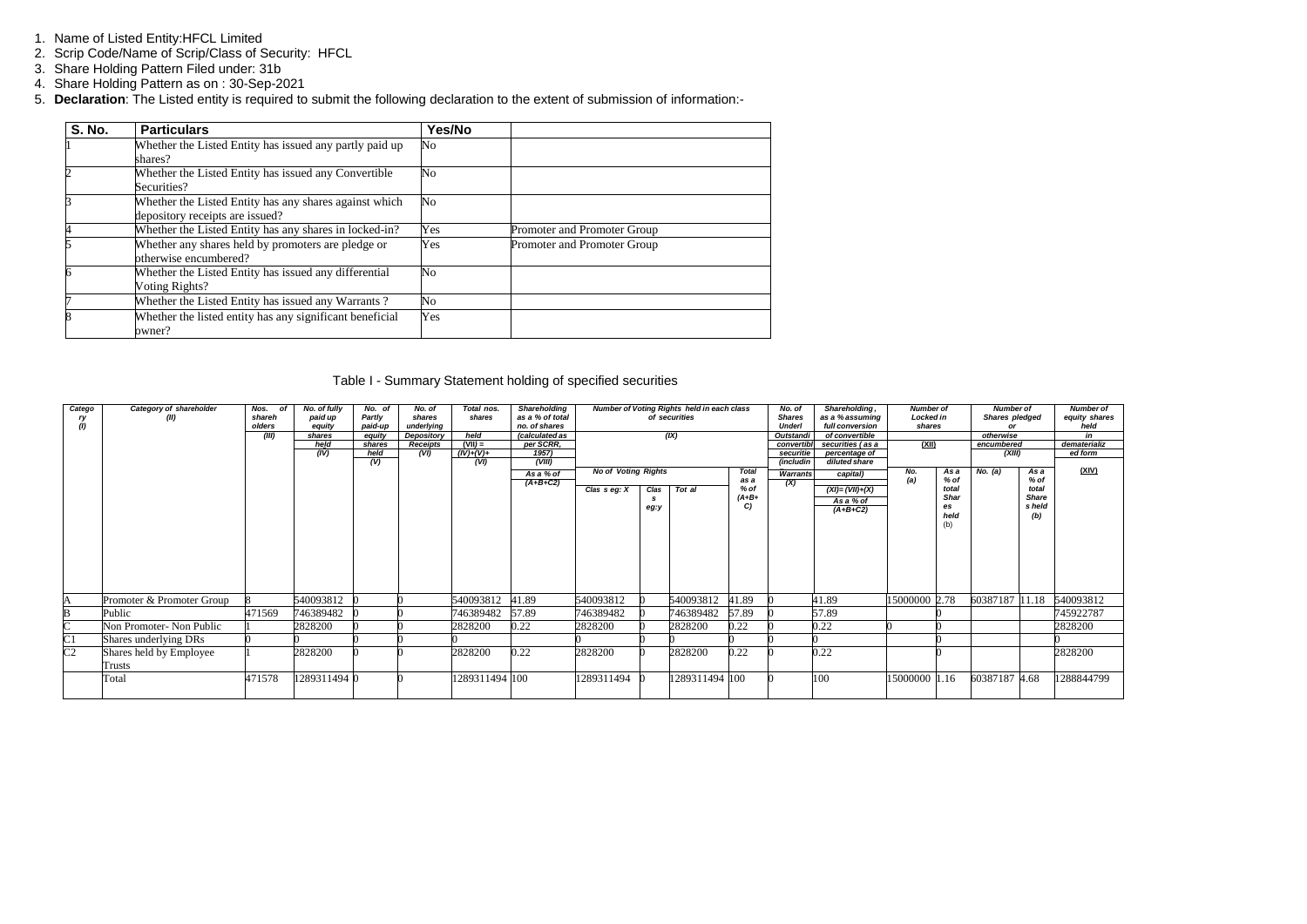- 1. Name of Listed Entity:HFCL Limited
- 2. Scrip Code/Name of Scrip/Class of Security: HFCL
- 3. Share Holding Pattern Filed under: 31b
- 4. Share Holding Pattern as on : 30-Sep-2021
- 5. **Declaration**: The Listed entity is required to submit the following declaration to the extent of submission of information:-

| <b>S. No.</b> | <b>Particulars</b>                                                                        | Yes/No                 |                             |
|---------------|-------------------------------------------------------------------------------------------|------------------------|-----------------------------|
|               | Whether the Listed Entity has issued any partly paid up<br>shares?                        | No                     |                             |
|               | Whether the Listed Entity has issued any Convertible<br>Securities?                       | $\overline{\text{No}}$ |                             |
|               | Whether the Listed Entity has any shares against which<br>depository receipts are issued? | $\overline{\text{No}}$ |                             |
| 4             | Whether the Listed Entity has any shares in locked-in?                                    | Yes                    | Promoter and Promoter Group |
|               | Whether any shares held by promoters are pledge or<br>otherwise encumbered?               | Yes                    | Promoter and Promoter Group |
|               | Whether the Listed Entity has issued any differential<br>Voting Rights?                   | $\overline{\text{No}}$ |                             |
|               | Whether the Listed Entity has issued any Warrants?                                        | $\rm No$               |                             |
|               | Whether the listed entity has any significant beneficial<br>owner?                        | Yes                    |                             |

### Table I - Summary Statement holding of specified securities

| Catego<br>ry<br>(I) | Category of shareholder<br>(II)   | Nos. of<br>shareh<br>olders<br>(III) | No. of fully<br>paid up<br>equity<br>shares<br>held<br>(IV) | No. of<br>Partly<br>paid-up<br>equity<br>shares<br>held | No. of<br>shares<br>underlying<br>Depository<br><b>Receipts</b><br>(VI) | Total nos.<br>shares<br>held<br>$(VII) =$<br>$(IV)+(V)+$ | <b>Shareholding</b><br>as a % of total<br>no. of shares<br>(calculated as<br>per SCRR,<br>1957) | Number of Voting Rights held in each class<br>of securities<br>(IX) |                                                    |                | No. of<br><b>Shares</b><br><b>Underl</b><br><b>Outstandi</b><br>convertibl<br>securitie | Shareholding,<br>as a % assuming<br>full conversion<br>of convertible<br>securities (as a<br>percentage of | <b>Number of</b><br>Locked in<br>shares<br>(XII) |                | <b>Number of</b><br>Shares pledged<br>otherwise<br>encumbered<br>(XIII) |                | <b>Number of</b><br>equity shares<br>held<br>in<br>dematerializ<br>ed form |            |
|---------------------|-----------------------------------|--------------------------------------|-------------------------------------------------------------|---------------------------------------------------------|-------------------------------------------------------------------------|----------------------------------------------------------|-------------------------------------------------------------------------------------------------|---------------------------------------------------------------------|----------------------------------------------------|----------------|-----------------------------------------------------------------------------------------|------------------------------------------------------------------------------------------------------------|--------------------------------------------------|----------------|-------------------------------------------------------------------------|----------------|----------------------------------------------------------------------------|------------|
|                     |                                   |                                      |                                                             | (V)                                                     |                                                                         | (VI)                                                     | (VIII)<br>As a % of<br>$(A+B+C2)$                                                               |                                                                     | <b>No of Voting Rights</b><br><b>Total</b><br>as a |                | <i>(includin</i><br><b>Warrants</b>                                                     | diluted share<br>capital)                                                                                  | No.<br>(a)                                       | As a<br>$%$ of | No. (a)                                                                 | As a<br>% of   | (XIV)                                                                      |            |
|                     |                                   |                                      |                                                             |                                                         |                                                                         |                                                          |                                                                                                 | Clas $s$ eg: $X$                                                    | Clas<br>- S<br>eg:y                                | Tot al         | $%$ of<br>$(A+B+$<br>C                                                                  | (X)                                                                                                        | $(XI) = (VII)+(X)$<br>As a % of<br>$(A+B+C2)$    |                | total<br><b>Shar</b><br>es<br>held<br>(b)                               |                | total<br><b>Share</b><br>s held<br>(b)                                     |            |
|                     | Promoter & Promoter Group         |                                      | 540093812 0                                                 |                                                         |                                                                         | 540093812                                                | 41.89                                                                                           | 540093812                                                           |                                                    | 540093812      | 41.89                                                                                   |                                                                                                            | 41.89                                            | 15000000 2.78  |                                                                         | 60387187 11.18 |                                                                            | 540093812  |
| R                   | Public                            | 471569                               | 746389482                                                   |                                                         |                                                                         | 746389482                                                | 57.89                                                                                           | 746389482                                                           |                                                    | 746389482      | 57.89                                                                                   |                                                                                                            | 57.89                                            |                |                                                                         |                |                                                                            | 745922787  |
| $\sim$              | Non Promoter- Non Public          |                                      | 2828200                                                     |                                                         |                                                                         | 2828200                                                  | 0.22                                                                                            | 2828200                                                             |                                                    | 2828200        | 0.22                                                                                    |                                                                                                            | 0.22                                             |                |                                                                         |                |                                                                            | 2828200    |
| $\overline{\rm C1}$ | Shares underlying DRs             |                                      |                                                             |                                                         |                                                                         |                                                          |                                                                                                 |                                                                     |                                                    |                |                                                                                         |                                                                                                            |                                                  |                |                                                                         |                |                                                                            |            |
| C <sub>2</sub>      | Shares held by Employee<br>Trusts |                                      | 2828200                                                     |                                                         |                                                                         | 2828200                                                  | 0.22                                                                                            | 2828200                                                             |                                                    | 2828200        | 0.22                                                                                    |                                                                                                            | 0.22                                             |                |                                                                         |                |                                                                            | 2828200    |
|                     | Total                             | 471578                               | 1289311494 0                                                |                                                         |                                                                         | 1289311494 100                                           |                                                                                                 | 289311494                                                           |                                                    | 1289311494 100 |                                                                                         |                                                                                                            | 100                                              | 15000000 1.16  |                                                                         | 60387187 4.68  |                                                                            | 1288844799 |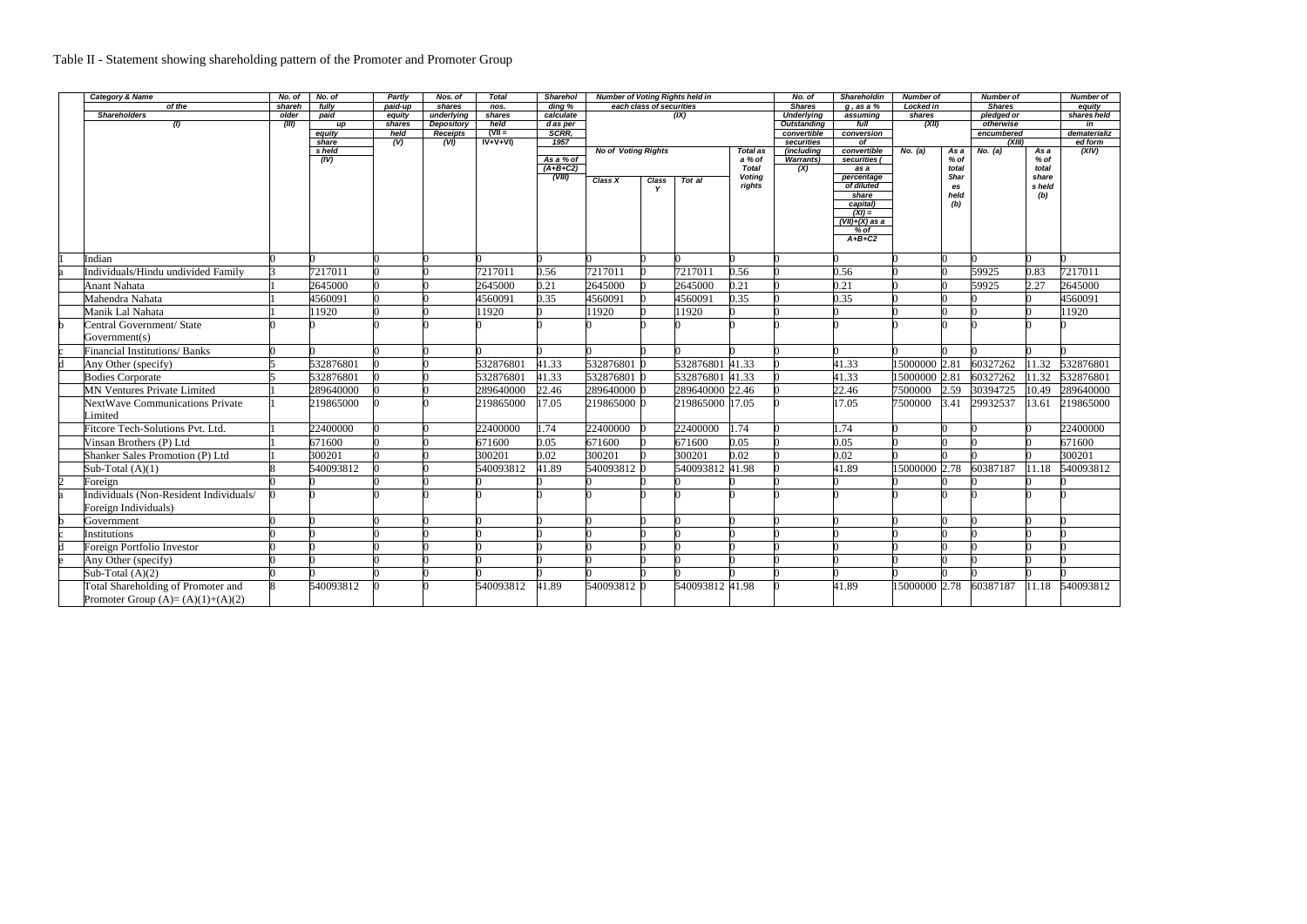## Table II - Statement showing shareholding pattern of the Promoter and Promoter Group

|               | <b>Category &amp; Name</b>                | No. of | No. of       | Partly           | Nos. of                              | <b>Total</b>     | <b>Sharehol</b>      | <b>Number of Voting Rights held in</b> |                          |                 | No. of                  | <b>Shareholdin</b>                | <b>Number of</b>         |               | <b>Number of</b> |                             | <b>Number of</b> |                    |
|---------------|-------------------------------------------|--------|--------------|------------------|--------------------------------------|------------------|----------------------|----------------------------------------|--------------------------|-----------------|-------------------------|-----------------------------------|--------------------------|---------------|------------------|-----------------------------|------------------|--------------------|
|               | of the                                    | shareh | fully        | paid-up          | shares                               | nos.             | $\frac{1}{2}$ ding % |                                        | each class of securities |                 |                         | <b>Shares</b>                     | $g$ , as a $%$           | Locked in     |                  | <b>Shares</b><br>pledged or |                  | equity             |
|               | <b>Shareholders</b>                       | older  | paid         | equity           | underlying                           | shares           | calculate            |                                        |                          | (IX)            |                         | <b>Underlying</b>                 | assuming                 |               | shares           |                             |                  | shares held        |
|               | (1)                                       | (III)  | up<br>equity | shares<br>held   | <b>Depository</b><br><b>Receipts</b> | held<br>$(VII =$ | d as per<br>SCRR,    |                                        |                          |                 |                         | <b>Outstanding</b><br>convertible | full<br>conversion       | (XII)         |                  | otherwise<br>encumbered     |                  | in<br>dematerializ |
|               |                                           |        | share        | $\overline{(V)}$ | (VI)                                 | $IV+V+VI$        | 1957                 |                                        |                          |                 | securities              | $\overline{of}$                   |                          |               | (XIII)           |                             | ed form          |                    |
|               |                                           |        | s held       |                  |                                      |                  |                      | <b>No of Voting Rights</b>             |                          |                 | Total as                | (including                        | convertible              | No. (a)       | As a             | No. (a)                     | As a             | (XIV)              |
|               |                                           |        | (IV)         |                  |                                      |                  | As a % of            |                                        |                          |                 | a % of                  | <b>Warrants)</b>                  | securities (             |               | % of             |                             | $%$ of           |                    |
|               |                                           |        |              |                  |                                      |                  | $(A+B+C2)$           |                                        |                          |                 | <b>Total</b>            | (X)                               | as a                     |               | total            |                             | total            |                    |
|               |                                           |        |              |                  |                                      |                  | (VIII)               | Class X                                | Class                    | Tot al          | <b>Voting</b><br>rights |                                   | percentage<br>of diluted |               | Shar<br>es       |                             | share<br>s held  |                    |
|               |                                           |        |              |                  |                                      |                  |                      |                                        | Y                        |                 |                         |                                   | share                    |               | held             |                             | (b)              |                    |
|               |                                           |        |              |                  |                                      |                  |                      |                                        |                          |                 |                         |                                   | capital)                 |               | (b)              |                             |                  |                    |
|               |                                           |        |              |                  |                                      |                  |                      |                                        |                          |                 |                         |                                   | $(XI) =$                 |               |                  |                             |                  |                    |
|               |                                           |        |              |                  |                                      |                  |                      |                                        |                          |                 |                         |                                   | $(VII)+(X)$ as a         |               |                  |                             |                  |                    |
|               |                                           |        |              |                  |                                      |                  |                      |                                        |                          |                 |                         |                                   | % of<br>$A+B+C2$         |               |                  |                             |                  |                    |
|               |                                           |        |              |                  |                                      |                  |                      |                                        |                          |                 |                         |                                   |                          |               |                  |                             |                  |                    |
|               | Indian                                    |        |              |                  |                                      |                  |                      |                                        |                          |                 |                         |                                   |                          |               |                  |                             |                  |                    |
|               | Individuals/Hindu undivided Family        |        | 7217011      |                  |                                      | 7217011          | 0.56                 | 7217011                                |                          | 7217011         | 0.56                    |                                   | 0.56                     |               |                  | 59925                       | 0.83             | 7217011            |
|               | <b>Anant Nahata</b>                       |        | 2645000      |                  |                                      | 2645000          | 0.21                 | 2645000                                |                          | 2645000         | 0.21                    |                                   | 0.21                     |               |                  | 59925                       | 2.27             | 2645000            |
|               | Mahendra Nahata                           |        | 4560091      |                  |                                      | 4560091          | 0.35                 | 4560091                                |                          | 4560091         | 0.35                    |                                   | 0.35                     |               |                  |                             |                  | 4560091            |
|               | Manik Lal Nahata                          |        | 11920        |                  |                                      | 11920            |                      | 1920                                   |                          | 1920            |                         |                                   |                          |               |                  |                             |                  | 11920              |
|               | Central Government/ State                 |        |              |                  |                                      |                  |                      |                                        |                          |                 |                         |                                   |                          |               |                  |                             |                  |                    |
|               | Government(s)                             |        |              |                  |                                      |                  |                      |                                        |                          |                 |                         |                                   |                          |               |                  |                             |                  |                    |
|               | <b>Financial Institutions/Banks</b>       |        |              |                  |                                      |                  |                      |                                        |                          |                 |                         |                                   |                          |               |                  |                             |                  |                    |
|               | Any Other (specify)                       |        | 532876801    |                  |                                      | 532876801        | 41.33                | 532876801                              |                          | 532876801 41.33 |                         |                                   | 41.33                    | 15000000 2.81 |                  | 60327262                    | 11.32            | 532876801          |
|               | <b>Bodies Corporate</b>                   |        | 532876801    |                  |                                      | 532876801        | 41.33                | 532876801 0                            |                          | 532876801       | 41.33                   |                                   | 41.33                    | 15000000 2.81 |                  | 60327262                    | 11.32            | 532876801          |
|               | <b>MN Ventures Private Limited</b>        |        | 289640000    |                  |                                      | 289640000        | 22.46                | 289640000 0                            |                          | 289640000 22.46 |                         |                                   | 22.46                    | 7500000       | 2.59             | 30394725                    | 10.49            | 289640000          |
|               | NextWave Communications Private           |        | 219865000    |                  |                                      | 219865000        | 17.05                | 219865000 0                            |                          | 219865000 17.05 |                         |                                   | 17.05                    | 7500000       | 3.41             | 29932537                    | 13.61            | 219865000          |
|               | Limited                                   |        |              |                  |                                      |                  |                      |                                        |                          |                 |                         |                                   |                          |               |                  |                             |                  |                    |
|               | Fitcore Tech-Solutions Pvt. Ltd.          |        | 22400000     |                  |                                      | 22400000         | 1.74                 | 22400000                               |                          | 22400000        | 1.74                    |                                   | 1.74                     |               |                  |                             |                  | 22400000           |
|               | Vinsan Brothers (P) Ltd                   |        | 671600       |                  |                                      | 671600           | 0.05                 | 671600                                 |                          | 671600          | 0.05                    |                                   | 0.05                     |               |                  |                             |                  | 671600             |
|               | <b>Shanker Sales Promotion (P) Ltd</b>    |        | 300201       |                  |                                      | 300201           | 0.02                 | 300201                                 |                          | 300201          | 0.02                    |                                   | 0.02                     |               |                  |                             |                  | 300201             |
|               | Sub-Total $(A)(1)$                        |        | 540093812    |                  |                                      | 540093812        | 41.89                | 540093812 0                            |                          | 540093812 41.98 |                         |                                   | 41.89                    | 15000000 2.78 |                  | 60387187                    | 11.18            | 540093812          |
| <sub>12</sub> | Foreign                                   |        |              |                  |                                      |                  |                      |                                        |                          |                 |                         |                                   |                          |               |                  |                             |                  |                    |
|               | Individuals (Non-Resident Individuals/    |        |              |                  |                                      |                  |                      |                                        |                          |                 |                         |                                   |                          |               |                  |                             |                  |                    |
|               | Foreign Individuals)                      |        |              |                  |                                      |                  |                      |                                        |                          |                 |                         |                                   |                          |               |                  |                             |                  |                    |
|               | Government                                |        |              |                  |                                      |                  |                      |                                        |                          |                 |                         |                                   |                          |               |                  |                             |                  |                    |
|               | Institutions                              |        |              |                  |                                      |                  |                      |                                        |                          |                 |                         |                                   |                          |               |                  |                             |                  |                    |
|               | <b>Foreign Portfolio Investor</b>         |        |              |                  |                                      |                  |                      |                                        |                          |                 |                         |                                   |                          |               |                  |                             |                  |                    |
|               | Any Other (specify)                       |        |              |                  |                                      |                  |                      |                                        |                          |                 |                         |                                   |                          |               |                  |                             |                  |                    |
|               | Sub-Total $(A)(2)$                        |        |              |                  |                                      |                  |                      |                                        |                          |                 |                         |                                   |                          |               |                  |                             |                  |                    |
|               | <b>Total Shareholding of Promoter and</b> |        | 540093812    |                  |                                      | 540093812        | 41.89                | 540093812 0                            |                          | 540093812 41.98 |                         |                                   | 41.89                    | 15000000 2.78 |                  | 60387187                    | 11.18            | 540093812          |
|               | Promoter Group $(A)=(A)(1)+(A)(2)$        |        |              |                  |                                      |                  |                      |                                        |                          |                 |                         |                                   |                          |               |                  |                             |                  |                    |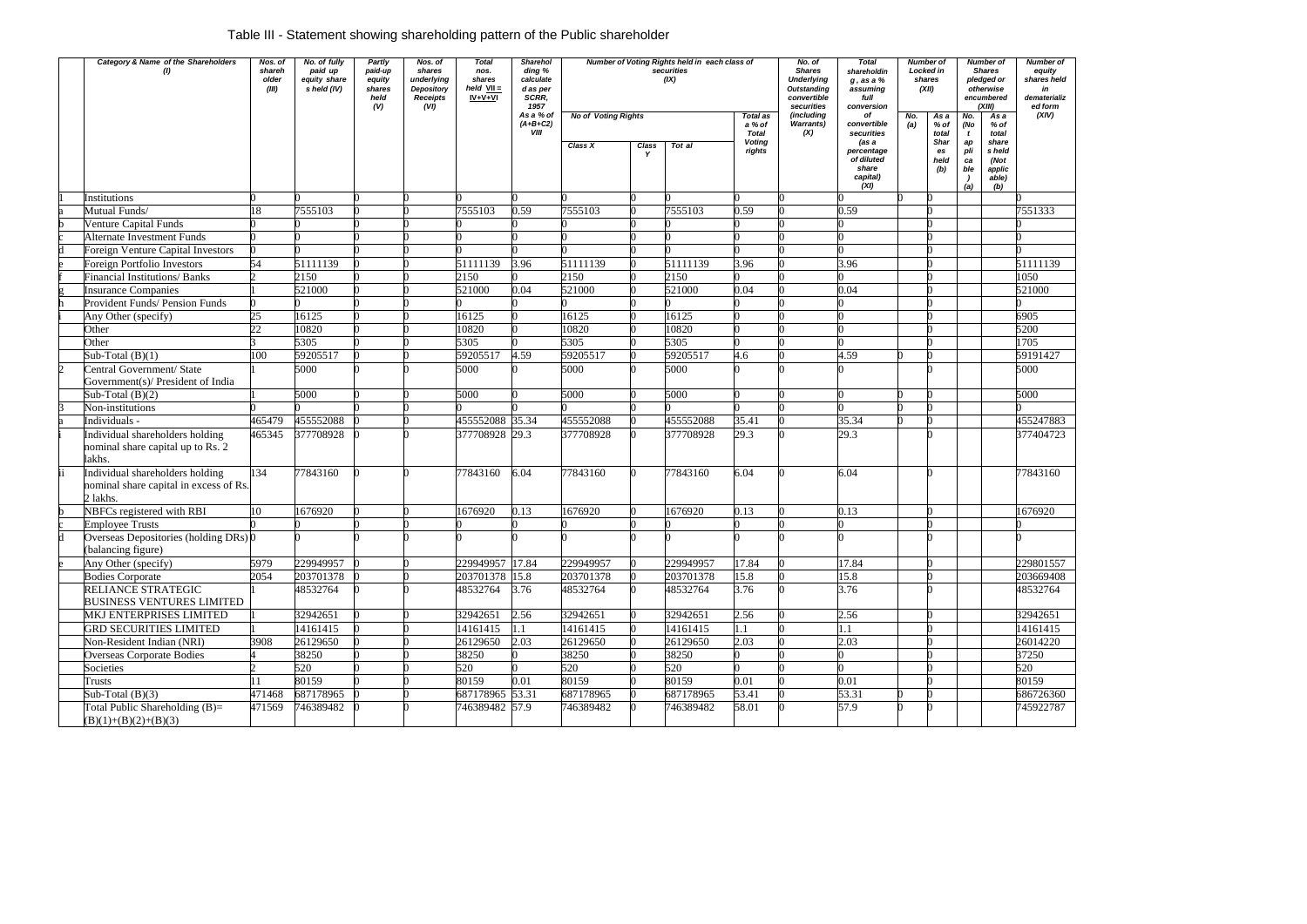# Table III - Statement showing shareholding pattern of the Public shareholder

| Category & Name of the Shareholders                                                  | Nos. of<br>shareh<br>older<br>(III) | No. of fully<br>paid up<br>equity share<br>s held (IV) | Partly<br>paid-up<br>equity<br>shares<br>held<br>(V) | Nos. of<br>shares<br>underlying<br>Depository<br><b>Receipts</b><br>(VI) | <b>Total</b><br>nos.<br>shares<br>$held$ $VII =$<br>$IV + V + VI$ | <b>Sharehol</b><br>ding %<br>calculate<br>d as per<br>SCRR.<br>1957<br>As a % of | Number of Voting Rights held in each class of<br>securities<br>(IX)<br><b>No of Voting Rights</b><br>Total as |       |           |                                         | No. of<br><b>Shares</b><br><b>Underlying</b><br><b>Outstanding</b><br>convertible<br>securities<br>(including | <b>Total</b><br>shareholdin<br>$g$ , as a $%$<br>assuming<br>full<br>conversion<br>оf | shares<br>No. | <b>Number of</b><br>Locked in<br>(XII)<br>As a | No.                                           | <b>Number of</b><br><b>Shares</b><br>pledged or<br>otherwise<br>encumbered<br>(XIII)<br>As a | <b>Number of</b><br>equity<br>shares held<br>in<br>dematerializ<br>ed form<br>(XIV) |
|--------------------------------------------------------------------------------------|-------------------------------------|--------------------------------------------------------|------------------------------------------------------|--------------------------------------------------------------------------|-------------------------------------------------------------------|----------------------------------------------------------------------------------|---------------------------------------------------------------------------------------------------------------|-------|-----------|-----------------------------------------|---------------------------------------------------------------------------------------------------------------|---------------------------------------------------------------------------------------|---------------|------------------------------------------------|-----------------------------------------------|----------------------------------------------------------------------------------------------|-------------------------------------------------------------------------------------|
|                                                                                      |                                     |                                                        |                                                      |                                                                          |                                                                   | $(A+B+C2)$<br>VIII                                                               |                                                                                                               |       |           | a % of                                  | <b>Warrants)</b>                                                                                              | convertible                                                                           | (a)           | % of                                           | (No                                           | % of                                                                                         |                                                                                     |
|                                                                                      |                                     |                                                        |                                                      |                                                                          |                                                                   |                                                                                  | Class X                                                                                                       | Class | Tot al    | <b>Total</b><br><b>Voting</b><br>rights | (X)                                                                                                           | securities<br>(as a<br>percentage<br>of diluted<br>share<br>capital)<br>(XI)          |               | total<br><b>Shar</b><br>es<br>held<br>(b)      | $\mathbf{t}$<br>ap<br>pli<br>ca<br>ble<br>(a) | total<br>share<br>s held<br>(Not<br>applic<br>able)<br>(b)                                   |                                                                                     |
| Institutions                                                                         |                                     |                                                        |                                                      |                                                                          |                                                                   |                                                                                  |                                                                                                               |       |           |                                         |                                                                                                               |                                                                                       |               |                                                |                                               |                                                                                              |                                                                                     |
| Mutual Funds/                                                                        | 18                                  | 7555103                                                |                                                      |                                                                          | 7555103                                                           | 0.59                                                                             | 7555103                                                                                                       |       | 7555103   | 0.59                                    |                                                                                                               | 0.59                                                                                  |               |                                                |                                               |                                                                                              | 7551333                                                                             |
| Venture Capital Funds                                                                |                                     |                                                        |                                                      |                                                                          |                                                                   |                                                                                  |                                                                                                               |       |           |                                         |                                                                                                               |                                                                                       |               |                                                |                                               |                                                                                              |                                                                                     |
| <b>Alternate Investment Funds</b>                                                    |                                     |                                                        |                                                      |                                                                          |                                                                   |                                                                                  |                                                                                                               |       |           |                                         |                                                                                                               |                                                                                       |               |                                                |                                               |                                                                                              |                                                                                     |
| <b>Foreign Venture Capital Investors</b>                                             |                                     |                                                        |                                                      |                                                                          |                                                                   |                                                                                  |                                                                                                               |       |           |                                         |                                                                                                               |                                                                                       |               |                                                |                                               |                                                                                              |                                                                                     |
| Foreign Portfolio Investors                                                          | 54                                  | 51111139                                               |                                                      |                                                                          | 51111139                                                          | 3.96                                                                             | 51111139                                                                                                      |       | 51111139  | 3.96                                    |                                                                                                               | 3.96                                                                                  |               |                                                |                                               |                                                                                              | 51111139                                                                            |
| <b>Financial Institutions/Banks</b>                                                  |                                     | 2150                                                   |                                                      |                                                                          | 2150                                                              |                                                                                  | 2150                                                                                                          |       | 2150      |                                         |                                                                                                               |                                                                                       |               |                                                |                                               |                                                                                              | 1050                                                                                |
| <b>Insurance Companies</b>                                                           |                                     | 521000                                                 |                                                      |                                                                          | 521000                                                            | 0.04                                                                             | 521000                                                                                                        |       | 521000    | 0.04                                    |                                                                                                               | 0.04                                                                                  |               |                                                |                                               |                                                                                              | 521000                                                                              |
| Provident Funds/ Pension Funds                                                       |                                     |                                                        |                                                      |                                                                          |                                                                   |                                                                                  |                                                                                                               |       |           |                                         |                                                                                                               |                                                                                       |               |                                                |                                               |                                                                                              |                                                                                     |
| Any Other (specify)                                                                  | 25                                  | 16125                                                  |                                                      |                                                                          | 16125                                                             |                                                                                  | 16125                                                                                                         |       | 16125     |                                         |                                                                                                               |                                                                                       |               |                                                |                                               |                                                                                              | 6905                                                                                |
| Other                                                                                | $\overline{22}$                     | 10820                                                  |                                                      |                                                                          | 10820                                                             |                                                                                  | 10820                                                                                                         |       | 10820     |                                         |                                                                                                               |                                                                                       |               |                                                |                                               |                                                                                              | 5200                                                                                |
| Other                                                                                |                                     | 5305                                                   |                                                      |                                                                          | 5305                                                              |                                                                                  | 5305                                                                                                          |       | 5305      |                                         |                                                                                                               |                                                                                       |               |                                                |                                               |                                                                                              | 1705                                                                                |
| Sub-Total $(B)(1)$                                                                   | 100                                 | 59205517                                               |                                                      |                                                                          | 59205517                                                          | 4.59                                                                             | 59205517                                                                                                      |       | 59205517  | 4.6                                     |                                                                                                               | 4.59                                                                                  |               |                                                |                                               |                                                                                              | 59191427                                                                            |
| Central Government/ State<br>Government(s)/ President of India                       |                                     | 5000                                                   |                                                      |                                                                          | 5000                                                              |                                                                                  | 5000                                                                                                          |       | 5000      |                                         |                                                                                                               |                                                                                       |               |                                                |                                               |                                                                                              | 5000                                                                                |
| Sub-Total $(B)(2)$                                                                   |                                     | 5000                                                   |                                                      |                                                                          | 5000                                                              |                                                                                  | 5000                                                                                                          |       | 5000      |                                         |                                                                                                               |                                                                                       |               |                                                |                                               |                                                                                              | 5000                                                                                |
| Non-institutions                                                                     |                                     |                                                        |                                                      |                                                                          |                                                                   |                                                                                  |                                                                                                               |       |           |                                         |                                                                                                               |                                                                                       |               |                                                |                                               |                                                                                              |                                                                                     |
| Individuals -                                                                        | 465479                              | 455552088                                              |                                                      |                                                                          | 455552088 35.34                                                   |                                                                                  | 455552088                                                                                                     |       | 455552088 | 35.41                                   |                                                                                                               | 35.34                                                                                 |               |                                                |                                               |                                                                                              | 455247883                                                                           |
| Individual shareholders holding<br>nominal share capital up to Rs. 2<br>lakhs.       | 465345                              | 377708928                                              |                                                      |                                                                          | 377708928 29.3                                                    |                                                                                  | 377708928                                                                                                     |       | 377708928 | 29.3                                    |                                                                                                               | 29.3                                                                                  |               |                                                |                                               |                                                                                              | 377404723                                                                           |
| Individual shareholders holding<br>nominal share capital in excess of Rs<br>2 lakhs. | 134                                 | 77843160                                               |                                                      |                                                                          | 77843160                                                          | 6.04                                                                             | 77843160                                                                                                      |       | 77843160  | 6.04                                    |                                                                                                               | 6.04                                                                                  |               |                                                |                                               |                                                                                              | 77843160                                                                            |
| NBFCs registered with RBI                                                            | 10                                  | 1676920                                                |                                                      |                                                                          | 1676920                                                           | 0.13                                                                             | 1676920                                                                                                       |       | 1676920   | 0.13                                    |                                                                                                               | 0.13                                                                                  |               |                                                |                                               |                                                                                              | 1676920                                                                             |
| <b>Employee Trusts</b>                                                               |                                     |                                                        |                                                      |                                                                          |                                                                   |                                                                                  |                                                                                                               |       |           |                                         |                                                                                                               |                                                                                       |               |                                                |                                               |                                                                                              |                                                                                     |
| Overseas Depositories (holding DRs) 0<br>(balancing figure)                          |                                     |                                                        |                                                      |                                                                          |                                                                   |                                                                                  |                                                                                                               |       |           |                                         |                                                                                                               |                                                                                       |               |                                                |                                               |                                                                                              |                                                                                     |
| Any Other (specify)                                                                  | 5979                                | 229949957                                              |                                                      |                                                                          | 229949957 17.84                                                   |                                                                                  | 229949957                                                                                                     |       | 229949957 | 17.84                                   |                                                                                                               | 17.84                                                                                 |               |                                                |                                               |                                                                                              | 229801557                                                                           |
| <b>Bodies Corporate</b>                                                              | 2054                                | 203701378                                              |                                                      |                                                                          | 203701378 15.8                                                    |                                                                                  | 203701378                                                                                                     |       | 203701378 | 15.8                                    |                                                                                                               | 15.8                                                                                  |               |                                                |                                               |                                                                                              | 203669408                                                                           |
| RELIANCE STRATEGIC<br><b>BUSINESS VENTURES LIMITED</b>                               |                                     | 48532764                                               |                                                      |                                                                          | 48532764                                                          | 3.76                                                                             | 48532764                                                                                                      |       | 48532764  | 3.76                                    |                                                                                                               | 3.76                                                                                  |               |                                                |                                               |                                                                                              | 48532764                                                                            |
| MKJ ENTERPRISES LIMITED                                                              |                                     | 32942651                                               |                                                      |                                                                          | 32942651                                                          | 2.56                                                                             | 32942651                                                                                                      |       | 32942651  | 2.56                                    |                                                                                                               | 2.56                                                                                  |               |                                                |                                               |                                                                                              | 32942651                                                                            |
| <b>GRD SECURITIES LIMITED</b>                                                        |                                     | 14161415                                               |                                                      |                                                                          | 14161415                                                          | 1.1                                                                              | 14161415                                                                                                      |       | 14161415  | 1.1                                     |                                                                                                               | $\cdot$ 1                                                                             |               |                                                |                                               |                                                                                              | 14161415                                                                            |
| Non-Resident Indian (NRI)                                                            | 3908                                | 26129650                                               |                                                      |                                                                          | 26129650                                                          | 2.03                                                                             | 26129650                                                                                                      |       | 26129650  | 2.03                                    |                                                                                                               | 2.03                                                                                  |               |                                                |                                               |                                                                                              | 26014220                                                                            |
| Overseas Corporate Bodies                                                            |                                     | 38250                                                  |                                                      |                                                                          | 38250                                                             |                                                                                  | 38250                                                                                                         |       | 38250     |                                         |                                                                                                               |                                                                                       |               |                                                |                                               |                                                                                              | 37250                                                                               |
| Societies                                                                            |                                     | 520                                                    |                                                      |                                                                          | 520                                                               |                                                                                  | 520                                                                                                           |       | 520       |                                         |                                                                                                               |                                                                                       |               |                                                |                                               |                                                                                              | 520                                                                                 |
| Trusts                                                                               | 11                                  | 80159                                                  |                                                      |                                                                          | 80159                                                             | 0.01                                                                             | 80159                                                                                                         |       | 80159     | 0.01                                    |                                                                                                               | 0.01                                                                                  |               |                                                |                                               |                                                                                              | 80159                                                                               |
| Sub-Total $(B)(3)$                                                                   | 471468                              | 687178965                                              |                                                      |                                                                          | 687178965 53.31                                                   |                                                                                  | 687178965                                                                                                     |       | 687178965 | 53.41                                   |                                                                                                               | 53.31                                                                                 |               |                                                |                                               |                                                                                              | 686726360                                                                           |
| Total Public Shareholding $(B)=$<br>$(B)(1)+(B)(2)+(B)(3)$                           | 471569                              | 746389482                                              |                                                      |                                                                          | 746389482 57.9                                                    |                                                                                  | 746389482                                                                                                     |       | 746389482 | 58.01                                   |                                                                                                               | 57.9                                                                                  |               |                                                |                                               |                                                                                              | 745922787                                                                           |